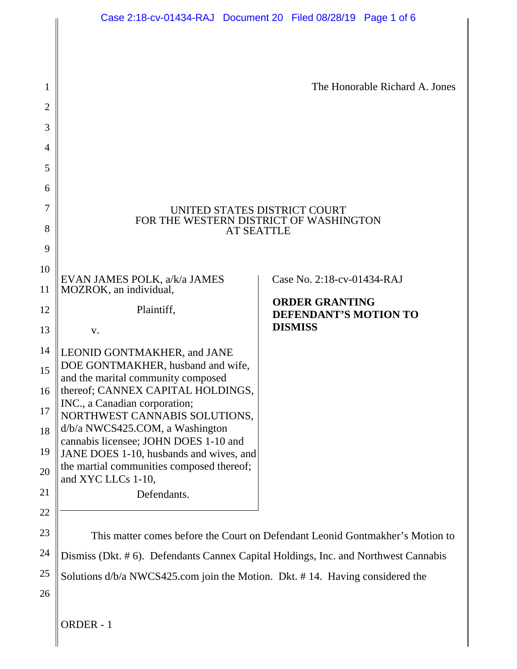The Honorable Richard A. Jones

| 3              |                                                                          |                                                       |
|----------------|--------------------------------------------------------------------------|-------------------------------------------------------|
| $\overline{4}$ |                                                                          |                                                       |
| 5              |                                                                          |                                                       |
| 6              |                                                                          |                                                       |
| 7              | UNITED STATES DISTRICT COURT                                             |                                                       |
| 8              | FOR THE WESTERN DISTRICT OF WASHINGTON<br><b>AT SEATTLE</b>              |                                                       |
| 9              |                                                                          |                                                       |
| 10             |                                                                          |                                                       |
| 11             | EVAN JAMES POLK, a/k/a JAMES<br>MOZROK, an individual,                   | Case No. 2:18-cv-01434-RAJ                            |
| 12             | Plaintiff,                                                               | <b>ORDER GRANTING</b><br><b>DEFENDANT'S MOTION TO</b> |
| 13             | V.                                                                       | <b>DISMISS</b>                                        |
| 14             | LEONID GONTMAKHER, and JANE                                              |                                                       |
| 15             | DOE GONTMAKHER, husband and wife,<br>and the marital community composed  |                                                       |
| 16             | thereof; CANNEX CAPITAL HOLDINGS,                                        |                                                       |
| 17             | INC., a Canadian corporation;<br>NORTHWEST CANNABIS SOLUTIONS,           |                                                       |
| 18             | d/b/a NWCS425.COM, a Washington<br>cannabis licensee; JOHN DOES 1-10 and |                                                       |
| 19             | JANE DOES 1-10, husbands and wives, and                                  |                                                       |
| 20             | the martial communities composed thereof;<br>and XYC LLCs 1-10,          |                                                       |
| 21             | Defendants.                                                              |                                                       |
| 22             |                                                                          |                                                       |
| 23             | This metter comes before the Court on Defendent Leonid Controlshor's Mo  |                                                       |

24 25 This matter comes before the Court on Defendant Leonid Gontmakher's Motion to Dismiss (Dkt. # 6). Defendants Cannex Capital Holdings, Inc. and Northwest Cannabis Solutions d/b/a NWCS425.com join the Motion. Dkt. # 14. Having considered the

26

1

2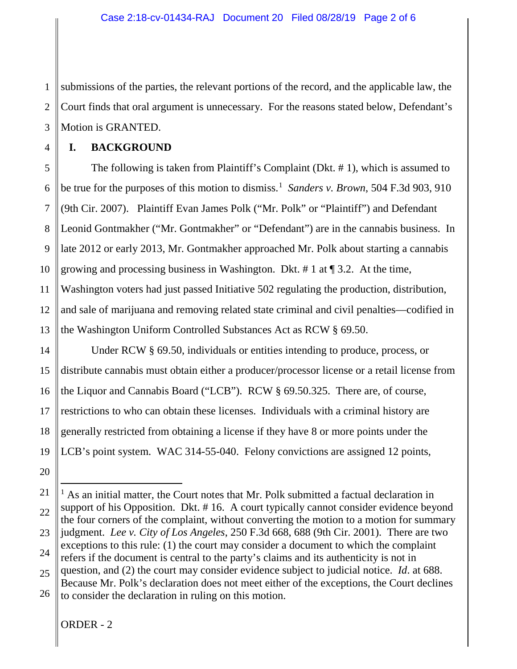1 2 3 submissions of the parties, the relevant portions of the record, and the applicable law, the Court finds that oral argument is unnecessary. For the reasons stated below, Defendant's Motion is GRANTED.

## **I. BACKGROUND**

4

5 6 7 8 9 10 11 12 13 The following is taken from Plaintiff's Complaint (Dkt. # 1), which is assumed to be true for the purposes of this motion to dismiss.<sup>[1](#page-1-0)</sup> Sanders v. Brown, 504 F.3d 903, 910 (9th Cir. 2007). Plaintiff Evan James Polk ("Mr. Polk" or "Plaintiff") and Defendant Leonid Gontmakher ("Mr. Gontmakher" or "Defendant") are in the cannabis business. In late 2012 or early 2013, Mr. Gontmakher approached Mr. Polk about starting a cannabis growing and processing business in Washington. Dkt. # 1 at ¶ 3.2. At the time, Washington voters had just passed Initiative 502 regulating the production, distribution, and sale of marijuana and removing related state criminal and civil penalties—codified in the Washington Uniform Controlled Substances Act as RCW § 69.50.

14 15 16 17 18 19 Under RCW § 69.50, individuals or entities intending to produce, process, or distribute cannabis must obtain either a producer/processor license or a retail license from the Liquor and Cannabis Board ("LCB"). RCW § 69.50.325. There are, of course, restrictions to who can obtain these licenses. Individuals with a criminal history are generally restricted from obtaining a license if they have 8 or more points under the LCB's point system. WAC 314-55-040. Felony convictions are assigned 12 points,

<sup>20</sup>

<span id="page-1-0"></span><sup>21</sup> 22 23 24 25 26  $<sup>1</sup>$  As an initial matter, the Court notes that Mr. Polk submitted a factual declaration in</sup> support of his Opposition. Dkt. # 16. A court typically cannot consider evidence beyond the four corners of the complaint, without converting the motion to a motion for summary judgment. *Lee v. City of Los Angeles*, 250 F.3d 668, 688 (9th Cir. 2001). There are two exceptions to this rule: (1) the court may consider a document to which the complaint refers if the document is central to the party's claims and its authenticity is not in question, and (2) the court may consider evidence subject to judicial notice. *Id*. at 688. Because Mr. Polk's declaration does not meet either of the exceptions, the Court declines to consider the declaration in ruling on this motion.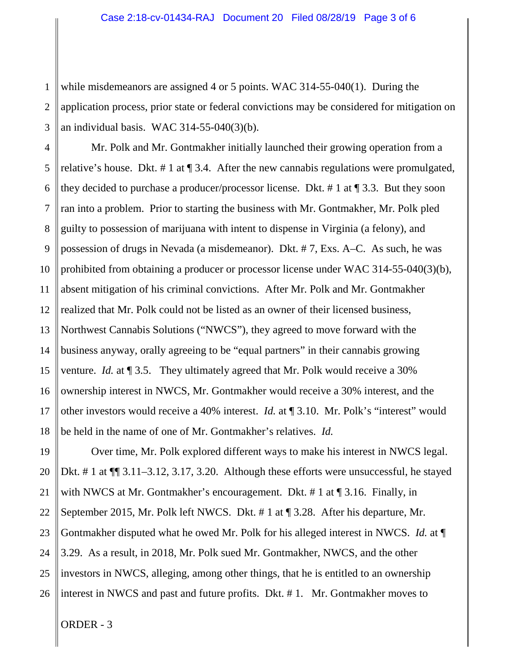1 2 3 while misdemeanors are assigned 4 or 5 points. WAC 314-55-040(1). During the application process, prior state or federal convictions may be considered for mitigation on an individual basis. WAC 314-55-040(3)(b).

4 5 6 7 8 9 10 11 12 13 14 15 16 17 18 Mr. Polk and Mr. Gontmakher initially launched their growing operation from a relative's house. Dkt. # 1 at ¶ 3.4. After the new cannabis regulations were promulgated, they decided to purchase a producer/processor license. Dkt. # 1 at ¶ 3.3. But they soon ran into a problem. Prior to starting the business with Mr. Gontmakher, Mr. Polk pled guilty to possession of marijuana with intent to dispense in Virginia (a felony), and possession of drugs in Nevada (a misdemeanor). Dkt. # 7, Exs. A–C. As such, he was prohibited from obtaining a producer or processor license under WAC 314-55-040(3)(b), absent mitigation of his criminal convictions. After Mr. Polk and Mr. Gontmakher realized that Mr. Polk could not be listed as an owner of their licensed business, Northwest Cannabis Solutions ("NWCS"), they agreed to move forward with the business anyway, orally agreeing to be "equal partners" in their cannabis growing venture. *Id.* at  $\sqrt{ }$  3.5. They ultimately agreed that Mr. Polk would receive a 30% ownership interest in NWCS, Mr. Gontmakher would receive a 30% interest, and the other investors would receive a 40% interest. *Id.* at ¶ 3.10. Mr. Polk's "interest" would be held in the name of one of Mr. Gontmakher's relatives. *Id.* 

19 20 21 22 23 24 25 26 Over time, Mr. Polk explored different ways to make his interest in NWCS legal. Dkt. # 1 at ¶¶ 3.11–3.12, 3.17, 3.20. Although these efforts were unsuccessful, he stayed with NWCS at Mr. Gontmakher's encouragement. Dkt. # 1 at ¶ 3.16. Finally, in September 2015, Mr. Polk left NWCS. Dkt. # 1 at ¶ 3.28. After his departure, Mr. Gontmakher disputed what he owed Mr. Polk for his alleged interest in NWCS. *Id.* at ¶ 3.29. As a result, in 2018, Mr. Polk sued Mr. Gontmakher, NWCS, and the other investors in NWCS, alleging, among other things, that he is entitled to an ownership interest in NWCS and past and future profits. Dkt. # 1. Mr. Gontmakher moves to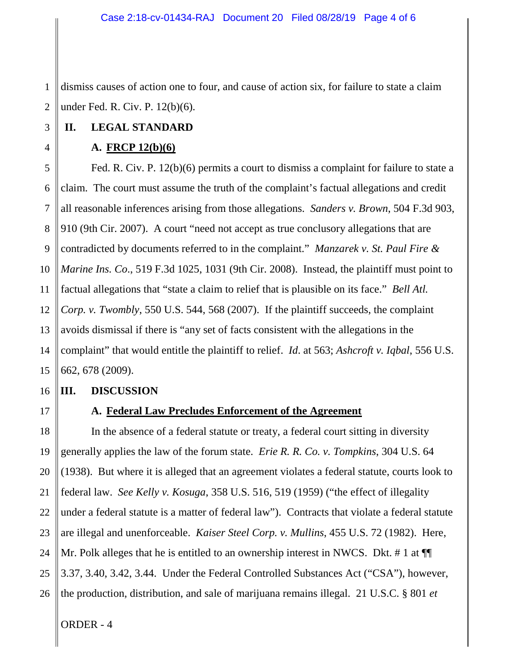1 2 dismiss causes of action one to four, and cause of action six, for failure to state a claim under Fed. R. Civ. P. 12(b)(6).

# **II. LEGAL STANDARD**

## **A. FRCP 12(b)(6)**

5 6 7 8 9 10 11 12 13 14 15 Fed. R. Civ. P. 12(b)(6) permits a court to dismiss a complaint for failure to state a claim. The court must assume the truth of the complaint's factual allegations and credit all reasonable inferences arising from those allegations. *Sanders v. Brown*, 504 F.3d 903, 910 (9th Cir. 2007). A court "need not accept as true conclusory allegations that are contradicted by documents referred to in the complaint." *Manzarek v. St. Paul Fire & Marine Ins. Co*., 519 F.3d 1025, 1031 (9th Cir. 2008). Instead, the plaintiff must point to factual allegations that "state a claim to relief that is plausible on its face." *Bell Atl. Corp. v. Twombly*, 550 U.S. 544, 568 (2007). If the plaintiff succeeds, the complaint avoids dismissal if there is "any set of facts consistent with the allegations in the complaint" that would entitle the plaintiff to relief. *Id*. at 563; *Ashcroft v. Iqbal*, 556 U.S. 662, 678 (2009).

#### 16 **III. DISCUSSION**

17

3

4

# **A. Federal Law Precludes Enforcement of the Agreement**

18 19 20 21 22 23 24 25 26 In the absence of a federal statute or treaty, a federal court sitting in diversity generally applies the law of the forum state. *Erie R. R. Co. v. Tompkins*, 304 U.S. 64 (1938). But where it is alleged that an agreement violates a federal statute, courts look to federal law. *See Kelly v. Kosuga*, 358 U.S. 516, 519 (1959) ("the effect of illegality under a federal statute is a matter of federal law"). Contracts that violate a federal statute are illegal and unenforceable. *Kaiser Steel Corp. v. Mullins*, 455 U.S. 72 (1982). Here, Mr. Polk alleges that he is entitled to an ownership interest in NWCS. Dkt. # 1 at  $\P$ 3.37, 3.40, 3.42, 3.44. Under the Federal Controlled Substances Act ("CSA"), however, the production, distribution, and sale of marijuana remains illegal. 21 U.S.C. § 801 *et*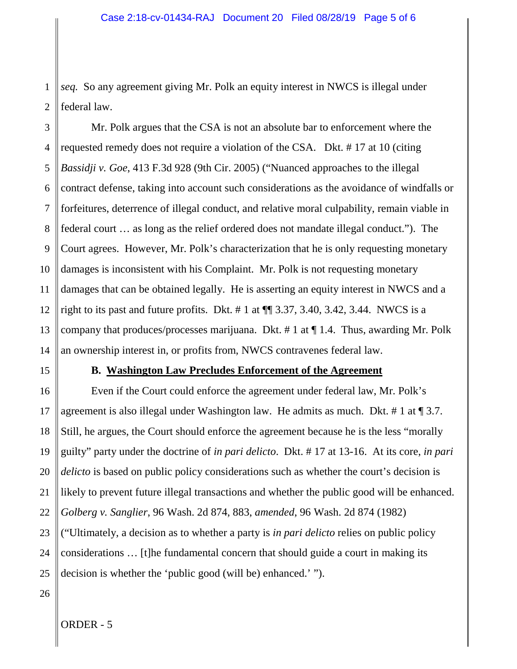1 2 *seq.* So any agreement giving Mr. Polk an equity interest in NWCS is illegal under federal law.

3 4 5 6 7 8 9 10 11 12 13 14 Mr. Polk argues that the CSA is not an absolute bar to enforcement where the requested remedy does not require a violation of the CSA. Dkt. # 17 at 10 (citing *Bassidji v. Goe*, 413 F.3d 928 (9th Cir. 2005) ("Nuanced approaches to the illegal contract defense, taking into account such considerations as the avoidance of windfalls or forfeitures, deterrence of illegal conduct, and relative moral culpability, remain viable in federal court … as long as the relief ordered does not mandate illegal conduct."). The Court agrees. However, Mr. Polk's characterization that he is only requesting monetary damages is inconsistent with his Complaint. Mr. Polk is not requesting monetary damages that can be obtained legally. He is asserting an equity interest in NWCS and a right to its past and future profits. Dkt.  $\# 1$  at  $\P$  $\P$  3.37, 3.40, 3.42, 3.44. NWCS is a company that produces/processes marijuana. Dkt. # 1 at ¶ 1.4. Thus, awarding Mr. Polk an ownership interest in, or profits from, NWCS contravenes federal law.

15

### **B. Washington Law Precludes Enforcement of the Agreement**

16 17 18 19 20 21 22 23 24 25 Even if the Court could enforce the agreement under federal law, Mr. Polk's agreement is also illegal under Washington law. He admits as much. Dkt. # 1 at ¶ 3.7. Still, he argues, the Court should enforce the agreement because he is the less "morally guilty" party under the doctrine of *in pari delicto*. Dkt. # 17 at 13-16. At its core, *in pari delicto* is based on public policy considerations such as whether the court's decision is likely to prevent future illegal transactions and whether the public good will be enhanced. *Golberg v. Sanglier*, 96 Wash. 2d 874, 883, *amended*, 96 Wash. 2d 874 (1982) ("Ultimately, a decision as to whether a party is *in pari delicto* relies on public policy considerations … [t]he fundamental concern that should guide a court in making its decision is whether the 'public good (will be) enhanced.' ").

26